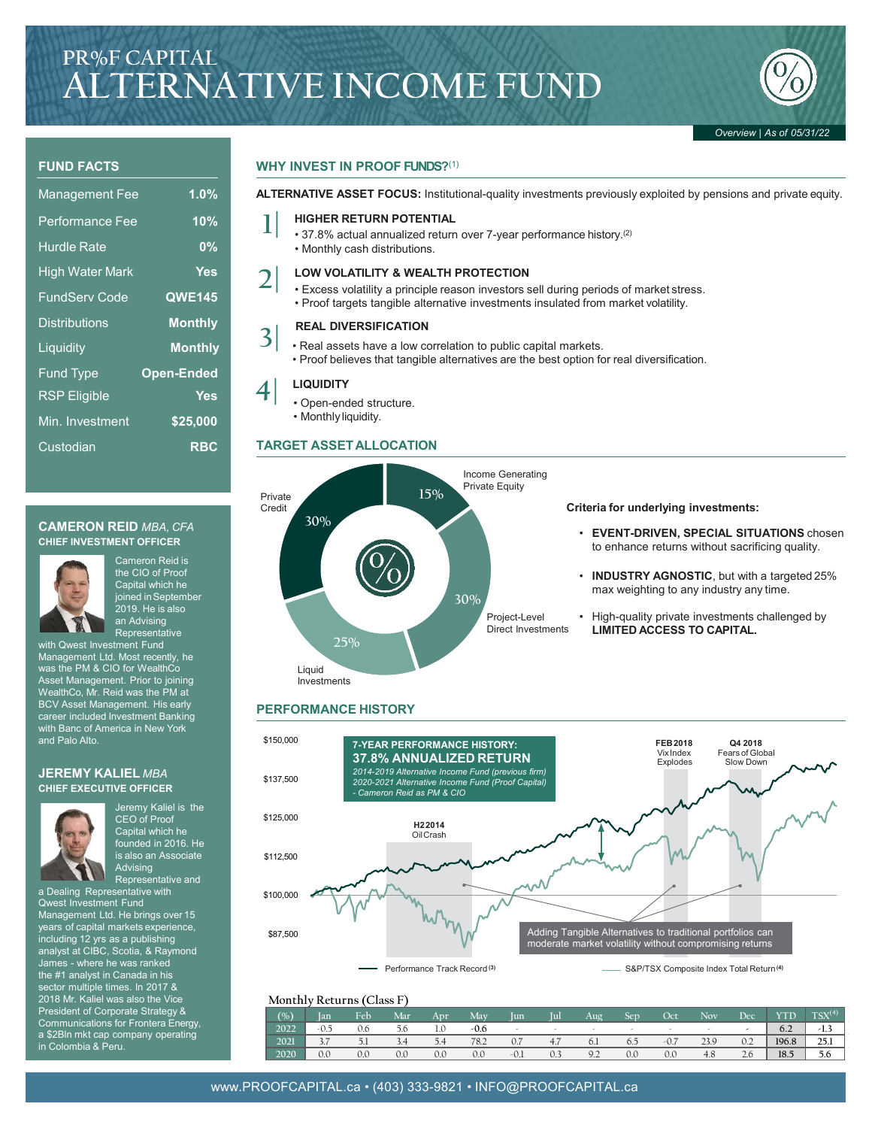

## **FUND FACTS**

| <b>Management Fee</b>  | 1.0%              |
|------------------------|-------------------|
| <b>Performance Fee</b> | 10%               |
| <b>Hurdle Rate</b>     | 0%                |
| <b>High Water Mark</b> | Yes               |
| <b>FundServ Code</b>   | <b>QWE145</b>     |
| <b>Distributions</b>   | <b>Monthly</b>    |
| Liquidity              | <b>Monthly</b>    |
| <b>Fund Type</b>       | <b>Open-Ended</b> |
| <b>RSP</b> Eligible    | <b>Yes</b>        |
| Min. Investment        | \$25,000          |
| Custodian              | <b>RBC</b>        |

## **CAMERON REID** *MBA, CFA* **CHIEF INVESTMENT OFFICER**



Cameron Reid is the CIO of Proof Capital which he joined in September *.*<br>2019. He is also an Advising Representative

with Qwest Investment Fund Management Ltd. Most recently, he was the PM & CIO for WealthCo Asset Management. Prior to joining WealthCo, Mr. Reid was the PM at BCV Asset Management. His early career included Investment Banking with Banc of America in New York and Palo Alto.

### **JEREMY KALIEL** *MBA* **CHIEF EXECUTIVE OFFICER**



Jeremy Kaliel is the CEO of Proof Capital which he founded in 2016. He is also an Associate Advising Representative and

a Dealing Representative with Qwest Investment Fund Management Ltd. He brings over 15 years of capital markets experience, including 12 yrs as a publishing analyst at CIBC, Scotia, & Raymond James - where he was ranked the #1 analyst in Canada in his sector multiple times. In 2017 & 2018 Mr. Kaliel was also the Vice President of Corporate Strategy & Communications for Frontera Energy, a \$2Bln mkt cap company operating in Colombia & Peru.

# **WHY INVEST IN PROOF FUNDS?**(1)

**ALTERNATIVE ASSET FOCUS:** Institutional-quality investments previously exploited by pensions and private equity.

- **1| HIGHER RETURN POTENTIAL** 37.8% actual annualized return over 7-year performance history.(2)
	- Monthly cash distributions.

- **2| LOW VOLATILITY & WEALTH PROTECTION** Excess volatility a principle reason investors sell during periods of market stress.
	- Proof targets tangible alternative investments insulated from market volatility.

# **REAL DIVERSIFICATION**

- Real assets have a low correlation to public capital markets.
	- Proof believes that tangible alternatives are the best option for real diversification.

**3|**

- **4| LIQUIDITY** Open-ended structure.
	- Monthly liquidity.

# **TARGET ASSETALLOCATION**



# **Criteria for underlying investments:**

- **EVENT-DRIVEN, SPECIAL SITUATIONS** chosen to enhance returns without sacrificing quality.
- **INDUSTRY AGNOSTIC**, but with a targeted 25% max weighting to any industry any time.
- High-quality private investments challenged by **LIMITED ACCESS TO CAPITAL.**

# **PERFORMANCE HISTORY**



|        | Monthly Returns (Class F) |     |     |     |        |        |     |                |     |        |      |     |       |             |
|--------|---------------------------|-----|-----|-----|--------|--------|-----|----------------|-----|--------|------|-----|-------|-------------|
| (0, 0) | Ian                       | Feb | Mar | App | Mav    | Jun    | ΊūΙ | Aug            | Sep | Oct    | Nov  | Dec | YTD   | $TSX^{(4)}$ |
| 2022   |                           | 0.6 | ס.כ | 1.0 | $-0.6$ | $\sim$ |     |                |     |        |      | -   | 6.2   | $-1.3$      |
| 2021   |                           |     | 3.4 | 5.4 | 78.2   | 0.7    | 4.7 | 6.1            | 6.5 | $-0.7$ | 23.9 | 0.2 | 196.8 | 25.1        |
| 2020   | 0.0                       | 0.0 | 0.0 | 0.0 | 0.0    | $-0.1$ | 0.3 | Q <sub>0</sub> | 0.0 | 0.0    | 4.8  | 2.6 | 18.5  | 5.6         |